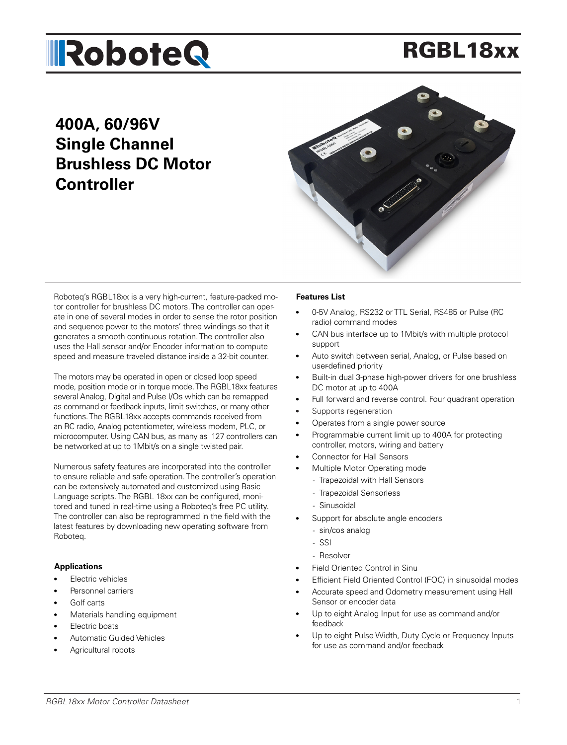# RGBL18xx

# **400A, 60/96V Single Channel Brushless DC Motor Controller**



Roboteq's RGBL18xx is a very high-current, feature-packed motor controller for brushless DC motors. The controller can operate in one of several modes in order to sense the rotor position and sequence power to the motors' three windings so that it generates a smooth continuous rotation. The controller also uses the Hall sensor and/or Encoder information to compute speed and measure traveled distance inside a 32-bit counter.

The motors may be operated in open or closed loop speed mode, position mode or in torque mode. The RGBL18xx features several Analog, Digital and Pulse I/Os which can be remapped as command or feedback inputs, limit switches, or many other functions. The RGBL18xx accepts commands received from an RC radio, Analog potentiometer, wireless modem, PLC, or microcomputer. Using CAN bus, as many as 127 controllers can be networked at up to 1Mbit/s on a single twisted pair.

Numerous safety features are incorporated into the controller to ensure reliable and safe operation. The controller's operation can be extensively automated and customized using Basic Language scripts. The RGBL 18xx can be configured, monitored and tuned in real-time using a Roboteq's free PC utility. The controller can also be reprogrammed in the field with the latest features by downloading new operating software from Roboteq.

#### **Applications**

- **Electric vehicles**
- Personnel carriers
- Golf carts
- Materials handling equipment
- Electric boats
- Automatic Guided Vehicles
- Agricultural robots

#### **Features List**

- 0-5V Analog, RS232 or TTL Serial, RS485 or Pulse (RC radio) command modes
- CAN bus interface up to 1Mbit/s with multiple protocol support
- Auto switch between serial, Analog, or Pulse based on user-defined priority
- Built-in dual 3-phase high-power drivers for one brushless DC motor at up to 400A
- Full for ward and reverse control. Four quadrant operation
- Supports regeneration
- Operates from a single power source
- Programmable current limit up to 400A for protecting controller, motors, wiring and battery
- Connector for Hall Sensors
- Multiple Motor Operating mode
	- Trapezoidal with Hall Sensors
	- Trapezoidal Sensorless
	- Sinusoidal
- Support for absolute angle encoders
	- sin/cos analog
	- SSI
	- Resolver
- Field Oriented Control in Sinu
- Efficient Field Oriented Control (FOC) in sinusoidal modes
- Accurate speed and Odometry measurement using Hall Sensor or encoder data
- Up to eight Analog Input for use as command and/or feedback
- Up to eight Pulse Width, Duty Cycle or Frequency Inputs for use as command and/or feedback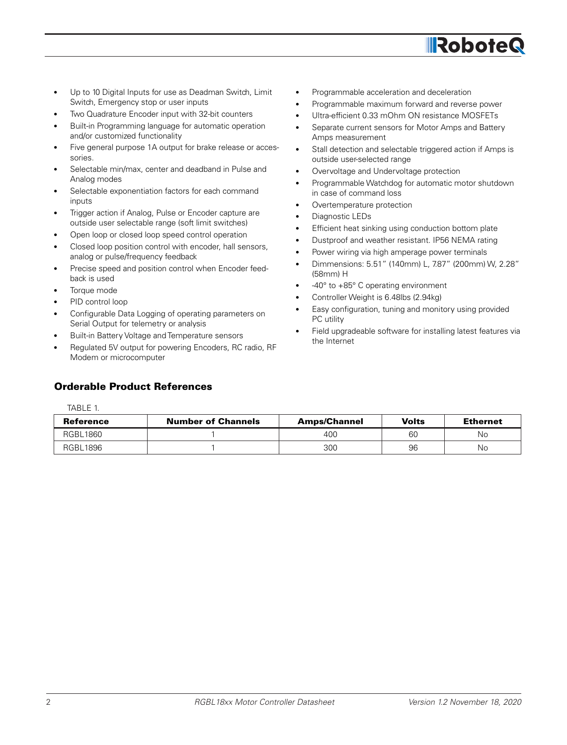

- Up to 10 Digital Inputs for use as Deadman Switch, Limit Switch, Emergency stop or user inputs
- Two Quadrature Encoder input with 32-bit counters
- Built-in Programming language for automatic operation and/or customized functionality
- Five general purpose 1A output for brake release or accessories.
- Selectable min/max, center and deadband in Pulse and Analog modes
- Selectable exponentiation factors for each command inputs
- Trigger action if Analog, Pulse or Encoder capture are outside user selectable range (soft limit switches)
- Open loop or closed loop speed control operation
- Closed loop position control with encoder, hall sensors, analog or pulse/frequency feedback
- Precise speed and position control when Encoder feedback is used
- Torque mode
- PID control loop
- Configurable Data Logging of operating parameters on Serial Output for telemetry or analysis
- Built-in Battery Voltage and Temperature sensors
- Regulated 5V output for powering Encoders, RC radio, RF Modem or microcomputer

### Orderable Product References

TABLE 1.

Reference | Number of Channels | Amps/Channel | Volts | Ethernet RGBL1860 | 1 | 400 | 60 | No RGBL1896 | 1 | 300 | 96 | No

- Programmable acceleration and deceleration
- Programmable maximum forward and reverse power
- Ultra-efficient 0.33 mOhm ON resistance MOSFETs
- Separate current sensors for Motor Amps and Battery Amps measurement
- Stall detection and selectable triggered action if Amps is outside user-selected range
- Overvoltage and Undervoltage protection
- Programmable Watchdog for automatic motor shutdown in case of command loss
- Overtemperature protection
- Diagnostic LEDs
- Efficient heat sinking using conduction bottom plate
- Dustproof and weather resistant. IP56 NEMA rating
- Power wiring via high amperage power terminals
- Dimmensions: 5.51" (140mm) L, 7.87" (200mm) W, 2.28" (58mm) H
- -40° to +85° C operating environment
- Controller Weight is 6.48lbs (2.94kg)
- Easy configuration, tuning and monitory using provided PC utility
- Field upgradeable software for installing latest features via the Internet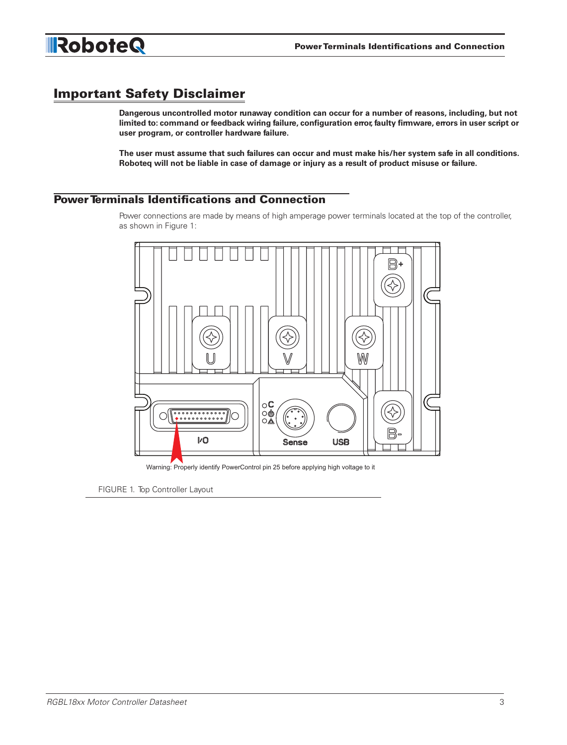

# Important Safety Disclaimer

**Dangerous uncontrolled motor runaway condition can occur for a number of reasons, including, but not limited to: command or feedback wiring failure, configuration error, faulty firmware, errors in user script or user program, or controller hardware failure.**

**The user must assume that such failures can occur and must make his/her system safe in all conditions. Roboteq will not be liable in case of damage or injury as a result of product misuse or failure.**

#### Power Terminals Identifications and Connection

Power connections are made by means of high amperage power terminals located at the top of the controller, as shown in Figure 1:



Warning: Properly identify PowerControl pin 25 before applying high voltage to it

FIGURE 1. Top Controller Layout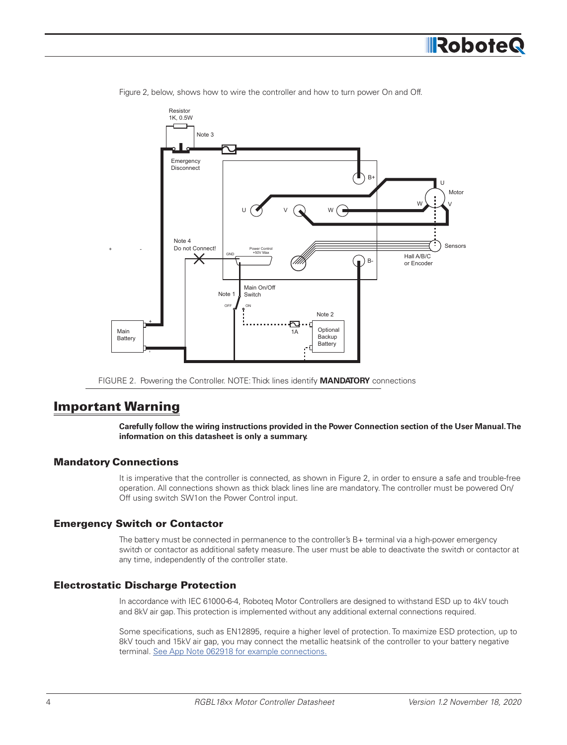



Figure 2, below, shows how to wire the controller and how to turn power On and Off.

FIGURE 2. Powering the Controller. NOTE: Thick lines identify **MANDATORY** connections

# Important Warning

**Carefully follow the wiring instructions provided in the Power Connection section of the User Manual. The information on this datasheet is only a summary.**

#### Mandatory Connections

It is imperative that the controller is connected, as shown in Figure 2, in order to ensure a safe and trouble-free operation. All connections shown as thick black lines line are mandatory. The controller must be powered On/ Off using switch SW1on the Power Control input.

#### Emergency Switch or Contactor

The battery must be connected in permanence to the controller's B+ terminal via a high-power emergency switch or contactor as additional safety measure. The user must be able to deactivate the switch or contactor at any time, independently of the controller state.

#### Electrostatic Discharge Protection

In accordance with IEC 61000-6-4, Roboteq Motor Controllers are designed to withstand ESD up to 4kV touch and 8kV air gap. This protection is implemented without any additional external connections required.

Some specifications, such as EN12895, require a higher level of protection. To maximize ESD protection, up to 8kV touch and 15kV air gap, you may connect the metallic heatsink of the controller to your battery negative terminal. See App Note 062918 for example connections.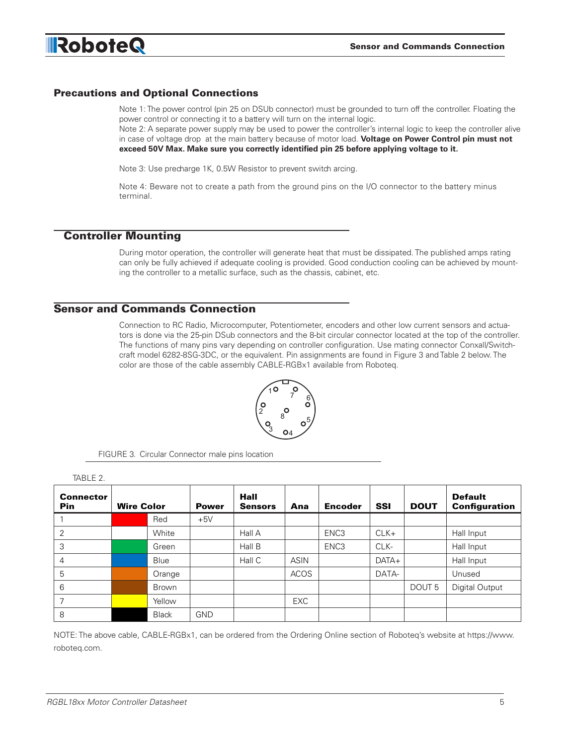

#### Precautions and Optional Connections

Note 1: The power control (pin 25 on DSUb connector) must be grounded to turn off the controller. Floating the power control or connecting it to a battery will turn on the internal logic.

Note 2: A separate power supply may be used to power the controller's internal logic to keep the controller alive in case of voltage drop at the main battery because of motor load. **Voltage on Power Control pin must not exceed 50V Max. Make sure you correctly identified pin 25 before applying voltage to it.**

Note 3: Use precharge 1K, 0.5W Resistor to prevent switch arcing.

Note 4: Beware not to create a path from the ground pins on the I/O connector to the battery minus terminal.

#### Controller Mounting

During motor operation, the controller will generate heat that must be dissipated. The published amps rating can only be fully achieved if adequate cooling is provided. Good conduction cooling can be achieved by mounting the controller to a metallic surface, such as the chassis, cabinet, etc.

#### Sensor and Commands Connection

Connection to RC Radio, Microcomputer, Potentiometer, encoders and other low current sensors and actuators is done via the 25-pin DSub connectors and the 8-bit circular connector located at the top of the controller. The functions of many pins vary depending on controller configuration. Use mating connector Conxall/Switchcraft model 6282-8SG-3DC, or the equivalent. Pin assignments are found in Figure 3 and Table 2 below. The color are those of the cable assembly CABLE-RGBx1 available from Roboteq.



FIGURE 3. Circular Connector male pins location

| IADLE Z.                       |                   |              |              |                        |             |                  |            |                   |                                        |
|--------------------------------|-------------------|--------------|--------------|------------------------|-------------|------------------|------------|-------------------|----------------------------------------|
| <b>Connector</b><br><b>Pin</b> | <b>Wire Color</b> |              | <b>Power</b> | Hall<br><b>Sensors</b> | Ana         | <b>Encoder</b>   | <b>SSI</b> | <b>DOUT</b>       | <b>Default</b><br><b>Configuration</b> |
|                                |                   | Red          | $+5V$        |                        |             |                  |            |                   |                                        |
| 2                              |                   | White        |              | Hall A                 |             | ENC <sub>3</sub> | $CLK+$     |                   | Hall Input                             |
| 3                              |                   | Green        |              | Hall B                 |             | ENC <sub>3</sub> | CLK-       |                   | Hall Input                             |
| 4                              |                   | Blue         |              | Hall C                 | <b>ASIN</b> |                  | $DATA+$    |                   | Hall Input                             |
| 5                              |                   | Orange       |              |                        | <b>ACOS</b> |                  | DATA-      |                   | Unused                                 |
| 6                              |                   | Brown        |              |                        |             |                  |            | DOUT <sub>5</sub> | Digital Output                         |
|                                |                   | Yellow       |              |                        | <b>EXC</b>  |                  |            |                   |                                        |
| 8                              |                   | <b>Black</b> | <b>GND</b>   |                        |             |                  |            |                   |                                        |

NOTE: The above cable, CABLE-RGBx1, can be ordered from the Ordering Online section of Roboteq's website at https://www. roboteq.com.

 $TADIT 2$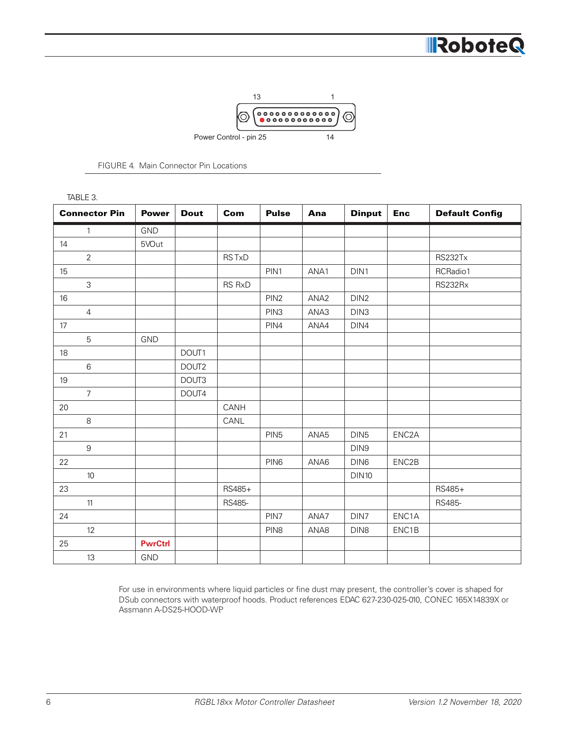



|  |  | <b>FIGURE 4. Main Connector Pin Locations</b> |  |  |
|--|--|-----------------------------------------------|--|--|
|--|--|-----------------------------------------------|--|--|

| TABLE 3.             |                |             |        |                  |                  |                  |                    |                       |
|----------------------|----------------|-------------|--------|------------------|------------------|------------------|--------------------|-----------------------|
| <b>Connector Pin</b> | <b>Power</b>   | <b>Dout</b> | Com    | <b>Pulse</b>     | Ana              | <b>Dinput</b>    | <b>Enc</b>         | <b>Default Config</b> |
| $\mathbf{1}$         | GND            |             |        |                  |                  |                  |                    |                       |
| 14                   | 5VOut          |             |        |                  |                  |                  |                    |                       |
| $\overline{2}$       |                |             | RSTxD  |                  |                  |                  |                    | <b>RS232Tx</b>        |
| 15                   |                |             |        | PIN1             | ANA1             | DIN1             |                    | RCRadio1              |
| $\mathsf{3}$         |                |             | RS RxD |                  |                  |                  |                    | RS232Rx               |
| 16                   |                |             |        | PIN <sub>2</sub> | ANA <sub>2</sub> | DIN <sub>2</sub> |                    |                       |
| $\overline{4}$       |                |             |        | PIN <sub>3</sub> | ANA3             | DIN <sub>3</sub> |                    |                       |
| 17                   |                |             |        | PIN4             | ANA4             | DIN4             |                    |                       |
| $\sqrt{5}$           | GND            |             |        |                  |                  |                  |                    |                       |
| 18                   |                | DOUT1       |        |                  |                  |                  |                    |                       |
| $\,6\,$              |                | DOUT2       |        |                  |                  |                  |                    |                       |
| 19                   |                | DOUT3       |        |                  |                  |                  |                    |                       |
| $\overline{7}$       |                | DOUT4       |        |                  |                  |                  |                    |                       |
| 20                   |                |             | CANH   |                  |                  |                  |                    |                       |
| $\,8\,$              |                |             | CANL   |                  |                  |                  |                    |                       |
| 21                   |                |             |        | PIN <sub>5</sub> | ANA5             | DIN <sub>5</sub> | ENC <sub>2</sub> A |                       |
| $\mathsf 9$          |                |             |        |                  |                  | DIN9             |                    |                       |
| 22                   |                |             |        | PIN <sub>6</sub> | ANA6             | DIN6             | ENC2B              |                       |
| 10                   |                |             |        |                  |                  | <b>DIN10</b>     |                    |                       |
| 23                   |                |             | RS485+ |                  |                  |                  |                    | RS485+                |
| 11                   |                |             | RS485- |                  |                  |                  |                    | RS485-                |
| 24                   |                |             |        | PIN7             | ANA7             | DIN7             | ENC1A              |                       |
| 12                   |                |             |        | PIN <sub>8</sub> | ANA8             | DIN8             | ENC1B              |                       |
| 25                   | <b>PwrCtrl</b> |             |        |                  |                  |                  |                    |                       |
| 13                   | <b>GND</b>     |             |        |                  |                  |                  |                    |                       |

For use in environments where liquid particles or fine dust may present, the controller's cover is shaped for DSub connectors with waterproof hoods. Product references EDAC 627-230-025-010, CONEC 165X14839X or Assmann A-DS25-HOOD-WP.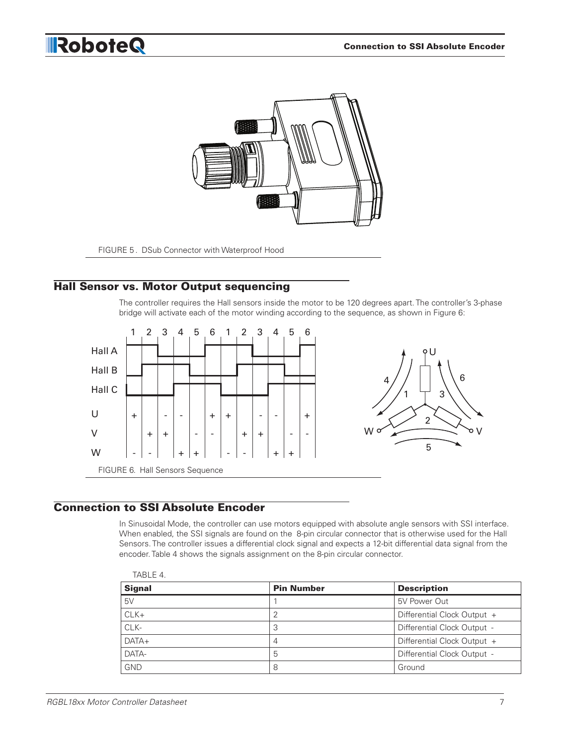

FIGURE 5 . DSub Connector with Waterproof Hood

### Hall Sensor vs. Motor Output sequencing

The controller requires the Hall sensors inside the motor to be 120 degrees apart. The controller's 3-phase bridge will activate each of the motor winding according to the sequence, as shown in Figure 6:



### Connection to SSI Absolute Encoder

In Sinusoidal Mode, the controller can use motors equipped with absolute angle sensors with SSI interface. When enabled, the SSI signals are found on the 8-pin circular connector that is otherwise used for the Hall Sensors. The controller issues a differential clock signal and expects a 12-bit differential data signal from the encoder. Table 4 shows the signals assignment on the 8-pin circular connector.

| TABLE 4.      |                   |                             |
|---------------|-------------------|-----------------------------|
| <b>Signal</b> | <b>Pin Number</b> | <b>Description</b>          |
| 5V            |                   | 5V Power Out                |
| $CLK+$        | 2                 | Differential Clock Output + |
| CLK-          | 3                 | Differential Clock Output - |
| $DATA+$       | 4                 | Differential Clock Output + |
| DATA-         | 5                 | Differential Clock Output - |
| <b>GND</b>    | 8                 | Ground                      |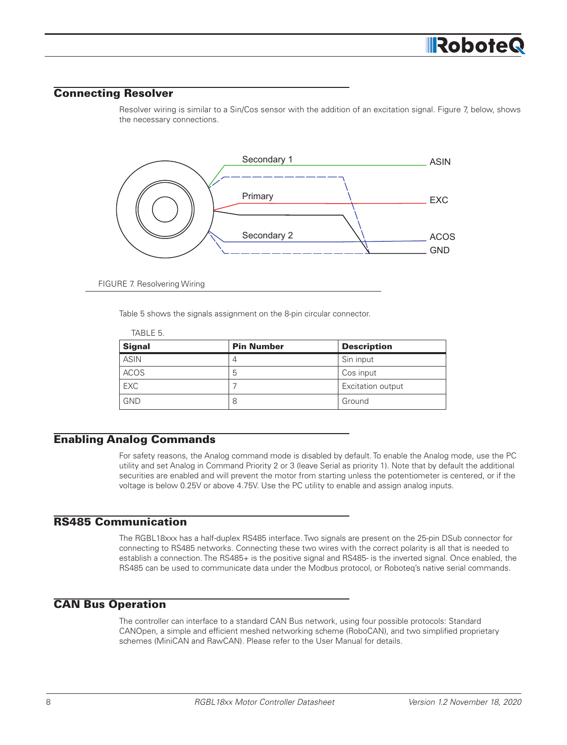#### Connecting Resolver

Resolver wiring is similar to a Sin/Cos sensor with the addition of an excitation signal. Figure 7, below, shows the necessary connections.



FIGURE 7. Resolvering Wiring

 $\pm 1.5.5 = -$ 

Table 5 shows the signals assignment on the 8-pin circular connector.

| IABLE 5.      |                   |                    |
|---------------|-------------------|--------------------|
| <b>Signal</b> | <b>Pin Number</b> | <b>Description</b> |
| <b>ASIN</b>   | 4                 | Sin input          |
| <b>ACOS</b>   | 5                 | Cos input          |
| <b>EXC</b>    |                   | Excitation output  |
| <b>GND</b>    | 8                 | Ground             |

#### Enabling Analog Commands

For safety reasons, the Analog command mode is disabled by default. To enable the Analog mode, use the PC utility and set Analog in Command Priority 2 or 3 (leave Serial as priority 1). Note that by default the additional securities are enabled and will prevent the motor from starting unless the potentiometer is centered, or if the voltage is below 0.25V or above 4.75V. Use the PC utility to enable and assign analog inputs.

#### RS485 Communication

The RGBL18xxx has a half-duplex RS485 interface. Two signals are present on the 25-pin DSub connector for connecting to RS485 networks. Connecting these two wires with the correct polarity is all that is needed to establish a connection. The RS485+ is the positive signal and RS485- is the inverted signal. Once enabled, the RS485 can be used to communicate data under the Modbus protocol, or Roboteq's native serial commands.

### CAN Bus Operation

The controller can interface to a standard CAN Bus network, using four possible protocols: Standard CANOpen, a simple and efficient meshed networking scheme (RoboCAN), and two simplified proprietary schemes (MiniCAN and RawCAN). Please refer to the User Manual for details.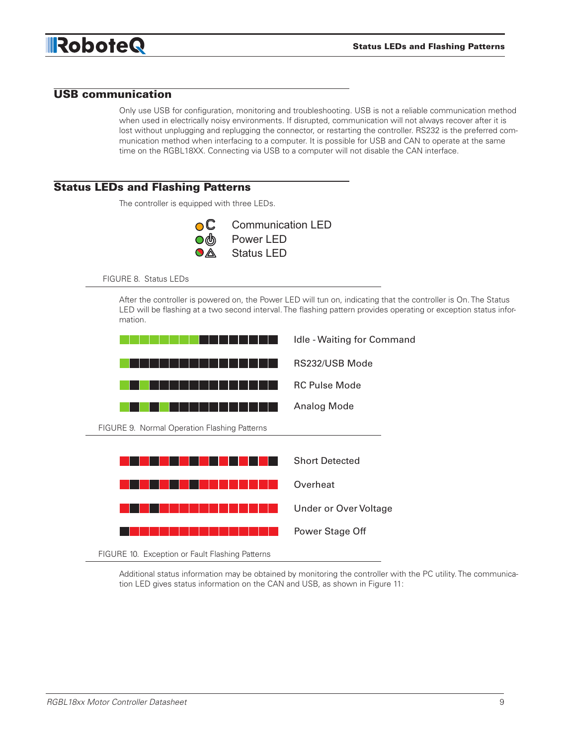

#### USB communication

Only use USB for configuration, monitoring and troubleshooting. USB is not a reliable communication method when used in electrically noisy environments. If disrupted, communication will not always recover after it is lost without unplugging and replugging the connector, or restarting the controller. RS232 is the preferred communication method when interfacing to a computer. It is possible for USB and CAN to operate at the same time on the RGBL18XX. Connecting via USB to a computer will not disable the CAN interface.

#### Status LEDs and Flashing Patterns

The controller is equipped with three LEDs.



FIGURE 8. Status LEDs

After the controller is powered on, the Power LED will tun on, indicating that the controller is On. The Status LED will be flashing at a two second interval. The flashing pattern provides operating or exception status infor mation.



Additional status information may be obtained by monitoring the controller with the PC utility. The communication LED gives status information on the CAN and USB, as shown in Figure 11: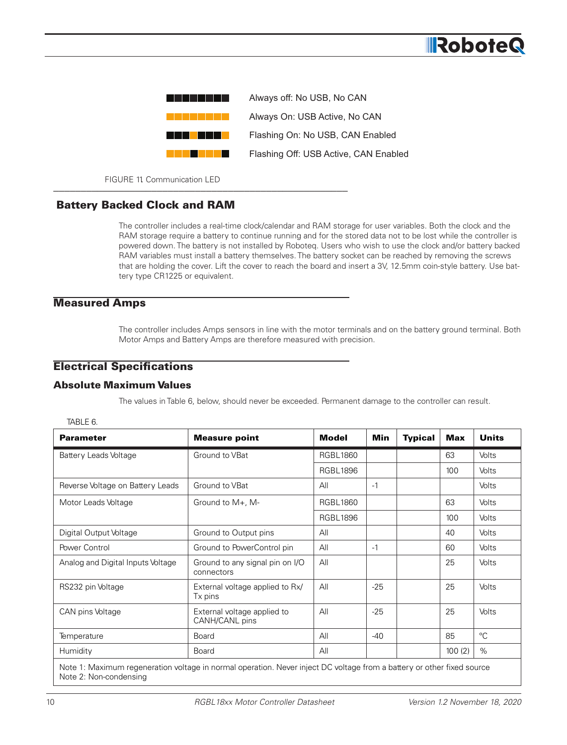

FIGURE 11 Communication LED

### Battery Backed Clock and RAM

The controller includes a real-time clock/calendar and RAM storage for user variables. Both the clock and the RAM storage require a battery to continue running and for the stored data not to be lost while the controller is powered down. The battery is not installed by Roboteq. Users who wish to use the clock and/or battery backed RAM variables must install a battery themselves. The battery socket can be reached by removing the screws that are holding the cover. Lift the cover to reach the board and insert a 3V, 12.5mm coin-style battery. Use battery type CR1225 or equivalent.

#### Measured Amps

The controller includes Amps sensors in line with the motor terminals and on the battery ground terminal. Both Motor Amps and Battery Amps are therefore measured with precision.

#### Electrical Specifications

#### Absolute Maximum Values

The values in Table 6, below, should never be exceeded. Permanent damage to the controller can result.

|--|--|

| <b>Parameter</b>                  | <b>Measure point</b>                                                                                                   | <b>Model</b>    | Min   | <b>Typical</b> | Max    | <b>Units</b> |  |  |
|-----------------------------------|------------------------------------------------------------------------------------------------------------------------|-----------------|-------|----------------|--------|--------------|--|--|
| Battery Leads Voltage             | Ground to VBat                                                                                                         | <b>RGBL1860</b> |       |                | 63     | <b>Volts</b> |  |  |
|                                   |                                                                                                                        | <b>RGBL1896</b> |       |                | 100    | Volts        |  |  |
| Reverse Voltage on Battery Leads  | Ground to VBat                                                                                                         | All             | $-1$  |                |        | Volts        |  |  |
| Motor Leads Voltage               | Ground to $M_{+}$ , M-                                                                                                 | <b>RGBL1860</b> |       |                | 63     | Volts        |  |  |
|                                   |                                                                                                                        | <b>RGBL1896</b> |       |                | 100    | Volts        |  |  |
| Digital Output Voltage            | Ground to Output pins                                                                                                  | All             |       |                | 40     | Volts        |  |  |
| Power Control                     | Ground to PowerControl pin                                                                                             | All             | $-1$  |                | 60     | Volts        |  |  |
| Analog and Digital Inputs Voltage | Ground to any signal pin on I/O<br>connectors                                                                          | All             |       |                | 25     | Volts        |  |  |
| RS232 pin Voltage                 | External voltage applied to Rx/<br>Tx pins                                                                             | All             | $-25$ |                | 25     | Volts        |  |  |
| CAN pins Voltage                  | External voltage applied to<br>CANH/CANL pins                                                                          | All             | $-25$ |                | 25     | Volts        |  |  |
| Temperature                       | Board                                                                                                                  | All             | $-40$ |                | 85     | $^{\circ}C$  |  |  |
| Humidity                          | Board                                                                                                                  | All             |       |                | 100(2) | $\%$         |  |  |
| Note 2: Non-condensing            | Note 1: Maximum regeneration voltage in normal operation. Never inject DC voltage from a battery or other fixed source |                 |       |                |        |              |  |  |

**IRobote**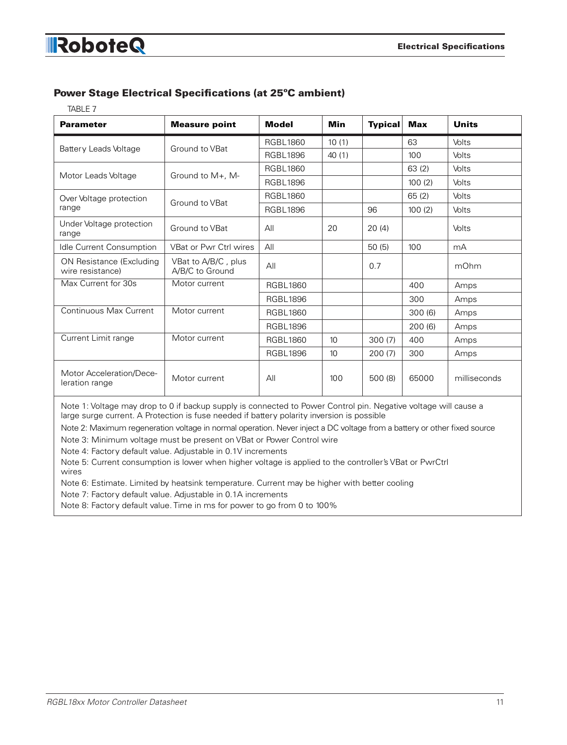### Power Stage Electrical Specifications (at 25ºC ambient)

TABLE 7.

| <b>Parameter</b>                             | <b>Measure point</b>                   | <b>Model</b>    | <b>Min</b>      | <b>Typical</b> | <b>Max</b> | <b>Units</b> |
|----------------------------------------------|----------------------------------------|-----------------|-----------------|----------------|------------|--------------|
|                                              |                                        | <b>RGBL1860</b> | 10(1)           |                | 63         | Volts        |
| Battery Leads Voltage                        | Ground to VBat                         | <b>RGBL1896</b> | 40(1)           |                | 100        | Volts        |
|                                              |                                        | <b>RGBL1860</b> |                 |                | 63(2)      | Volts        |
| Motor Leads Voltage                          | Ground to M+, M-                       | <b>RGBL1896</b> |                 |                | 100(2)     | Volts        |
| Over Voltage protection                      |                                        | <b>RGBL1860</b> |                 |                | 65(2)      | Volts        |
| range                                        | Ground to VBat                         | <b>RGBL1896</b> |                 | 96             | 100(2)     | Volts        |
| Under Voltage protection<br>range            | Ground to VBat                         | All             | 20              | 20(4)          |            | Volts        |
| Idle Current Consumption                     | <b>VBat or Pwr Ctrl wires</b>          | All             |                 | 50(5)          | 100        | mA           |
| ON Resistance (Excluding<br>wire resistance) | VBat to A/B/C, plus<br>A/B/C to Ground | All             |                 | 0.7            |            | mOhm         |
| Max Current for 30s                          | Motor current                          | <b>RGBL1860</b> |                 |                | 400        | Amps         |
|                                              |                                        | <b>RGBL1896</b> |                 |                | 300        | Amps         |
| Continuous Max Current                       | Motor current                          | <b>RGBL1860</b> |                 |                | 300(6)     | Amps         |
|                                              |                                        | <b>RGBL1896</b> |                 |                | 200(6)     | Amps         |
| Current Limit range                          | Motor current                          | <b>RGBL1860</b> | 10              | 300(7)         | 400        | Amps         |
|                                              |                                        | <b>RGBL1896</b> | 10 <sup>°</sup> | 200(7)         | 300        | Amps         |
| Motor Acceleration/Dece-<br>leration range   | Motor current                          | All             | 100             | 500(8)         | 65000      | milliseconds |

Note 1: Voltage may drop to 0 if backup supply is connected to Power Control pin. Negative voltage will cause a large surge current. A Protection is fuse needed if battery polarity inversion is possible

Note 2: Maximum regeneration voltage in normal operation. Never inject a DC voltage from a battery or other fixed source

Note 3: Minimum voltage must be present on VBat or Power Control wire

Note 4: Factory default value. Adjustable in 0.1V increments

Note 5: Current consumption is lower when higher voltage is applied to the controller's VBat or PwrCtrl wires

Note 6: Estimate. Limited by heatsink temperature. Current may be higher with better cooling

Note 7: Factory default value. Adjustable in 0.1A increments

Note 8: Factory default value. Time in ms for power to go from 0 to 100%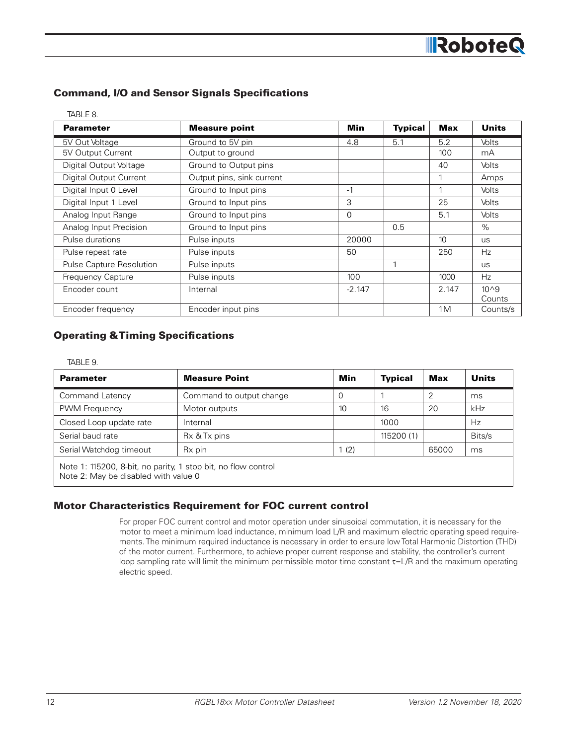#### Command, I/O and Sensor Signals Specifications

| TABLE 8.                 |                           |            |                |            |              |
|--------------------------|---------------------------|------------|----------------|------------|--------------|
| <b>Parameter</b>         | <b>Measure point</b>      | <b>Min</b> | <b>Typical</b> | <b>Max</b> | <b>Units</b> |
| 5V Out Voltage           | Ground to 5V pin          | 4.8        | 5.1            | 5.2        | Volts        |
| 5V Output Current        | Output to ground          |            |                | 100        | mA           |
| Digital Output Voltage   | Ground to Output pins     |            |                | 40         | <b>Volts</b> |
| Digital Output Current   | Output pins, sink current |            |                |            | Amps         |
| Digital Input 0 Level    | Ground to Input pins      | $-1$       |                |            | <b>Volts</b> |
| Digital Input 1 Level    | Ground to Input pins      | 3          |                | 25         | <b>Volts</b> |
| Analog Input Range       | Ground to Input pins      | 0          |                | 5.1        | <b>Volts</b> |
| Analog Input Precision   | Ground to Input pins      |            | 0.5            |            | $\%$         |
| Pulse durations          | Pulse inputs              | 20000      |                | 10         | <b>us</b>    |
| Pulse repeat rate        | Pulse inputs              | 50         |                | 250        | Hz           |
| Pulse Capture Resolution | Pulse inputs              |            |                |            | <b>us</b>    |
| Frequency Capture        | Pulse inputs              | 100        |                | 1000       | Hz           |
| Encoder count            | Internal                  | $-2.147$   |                | 2.147      | $10^{0}$     |
|                          |                           |            |                |            | Counts       |
| Encoder frequency        | Encoder input pins        |            |                | 1M         | Counts/s     |

#### Operating & Timing Specifications

TABLE 9.

| <b>Parameter</b>        | <b>Measure Point</b>                                          | Min              | <b>Typical</b> | Max   | <b>Units</b> |  |  |  |
|-------------------------|---------------------------------------------------------------|------------------|----------------|-------|--------------|--|--|--|
| <b>Command Latency</b>  | Command to output change                                      | 0                |                | 2     | ms           |  |  |  |
| PWM Frequency           | Motor outputs                                                 | 10 <sup>10</sup> | 16             | 20    | kHz          |  |  |  |
| Closed Loop update rate | Internal                                                      |                  | 1000           |       | Hz           |  |  |  |
| Serial baud rate        | Rx & Tx pins                                                  |                  | 115200(1)      |       | Bits/s       |  |  |  |
| Serial Watchdog timeout | R <sub>x</sub> pin                                            | (2)              |                | 65000 | ms           |  |  |  |
| $N = 2.0$               | Note 1: 115200, 8-bit, no parity, 1 stop bit, no flow control |                  |                |       |              |  |  |  |

Note 2: May be disabled with value 0

#### Motor Characteristics Requirement for FOC current control

For proper FOC current control and motor operation under sinusoidal commutation, it is necessary for the motor to meet a minimum load inductance, minimum load L/R and maximum electric operating speed requirements. The minimum required inductance is necessary in order to ensure low Total Harmonic Distortion (THD) of the motor current. Furthermore, to achieve proper current response and stability, the controller's current loop sampling rate will limit the minimum permissible motor time constant  $\tau = L/R$  and the maximum operating electric speed.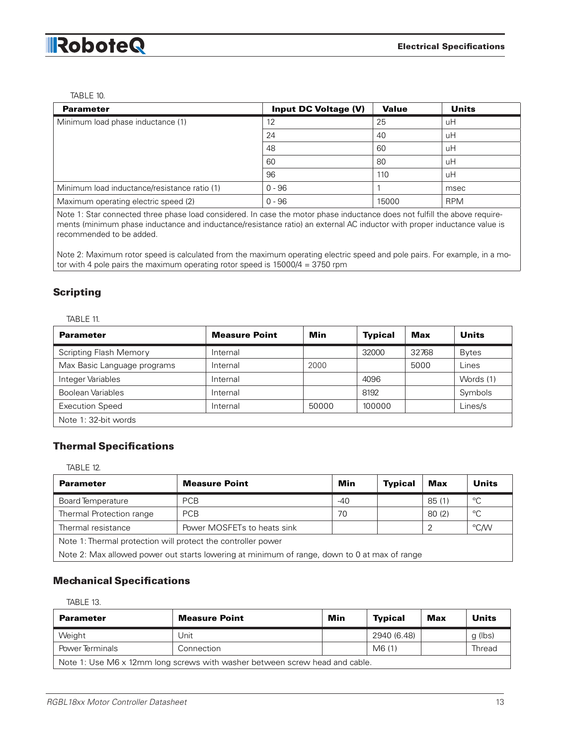#### TABLE 10.

| <b>Parameter</b>                             | <b>Input DC Voltage (V)</b> | <b>Value</b> | Units      |
|----------------------------------------------|-----------------------------|--------------|------------|
| Minimum load phase inductance (1)            | 12                          | 25           | uH         |
|                                              | 24                          | 40           | uН         |
|                                              | 48                          | -60          | uН         |
|                                              | 60                          | 80           | uН         |
|                                              | 96                          | 110          | иH         |
| Minimum load inductance/resistance ratio (1) | $0 - 96$                    |              | msec       |
| Maximum operating electric speed (2)         | $0 - 96$                    | 15000        | <b>RPM</b> |

Note 1: Star connected three phase load considered. In case the motor phase inductance does not fulfill the above requirements (minimum phase inductance and inductance/resistance ratio) an external AC inductor with proper inductance value is recommended to be added.

Note 2: Maximum rotor speed is calculated from the maximum operating electric speed and pole pairs. For example, in a motor with 4 pole pairs the maximum operating rotor speed is 15000/4 = 3750 rpm

#### Scripting

#### TABLE 11.

| <b>Parameter</b>              | <b>Measure Point</b> | Min   | <b>Typical</b> | <b>Max</b> | Units        |
|-------------------------------|----------------------|-------|----------------|------------|--------------|
| <b>Scripting Flash Memory</b> | Internal             |       | 32000          | 32768      | <b>Bytes</b> |
| Max Basic Language programs   | Internal             | 2000  |                | 5000       | Lines        |
| Integer Variables             | Internal             |       | 4096           |            | Words (1)    |
| <b>Boolean Variables</b>      | Internal             |       | 8192           |            | Symbols      |
| <b>Execution Speed</b>        | Internal             | 50000 | 100000         |            | Lines/s      |
| Note 1: 32-bit words          |                      |       |                |            |              |

#### Thermal Specifications

TABLE 12.

| <b>Parameter</b>                                                                             | <b>Measure Point</b>        | Min   | <b>Typical</b> | Max   | Units       |  |  |
|----------------------------------------------------------------------------------------------|-----------------------------|-------|----------------|-------|-------------|--|--|
| Board Temperature                                                                            | <b>PCB</b>                  | $-40$ |                | 85(1) | °C          |  |  |
| Thermal Protection range                                                                     | <b>PCB</b>                  | 70    |                | 80(2) | $^{\circ}C$ |  |  |
| Thermal resistance                                                                           | Power MOSFETs to heats sink |       |                |       | °C/W        |  |  |
| Note 1: Thermal protection will protect the controller power                                 |                             |       |                |       |             |  |  |
| Note 2: Max allowed power out starts lowering at minimum of range, down to 0 at max of range |                             |       |                |       |             |  |  |

#### Mechanical Specifications

| r | ٧<br>× |
|---|--------|
|---|--------|

| <b>Parameter</b>                                                            | <b>Measure Point</b> | Min | <b>Typical</b> | Max | <b>Units</b> |  |  |
|-----------------------------------------------------------------------------|----------------------|-----|----------------|-----|--------------|--|--|
| Weight                                                                      | Jnit                 |     | 2940 (6.48)    |     | g (lbs)      |  |  |
| <b>Power Terminals</b>                                                      | Connection           |     | M6 (1)         |     | Thread       |  |  |
| Note 1: Use M6 x 12mm long screws with washer between screw head and cable. |                      |     |                |     |              |  |  |